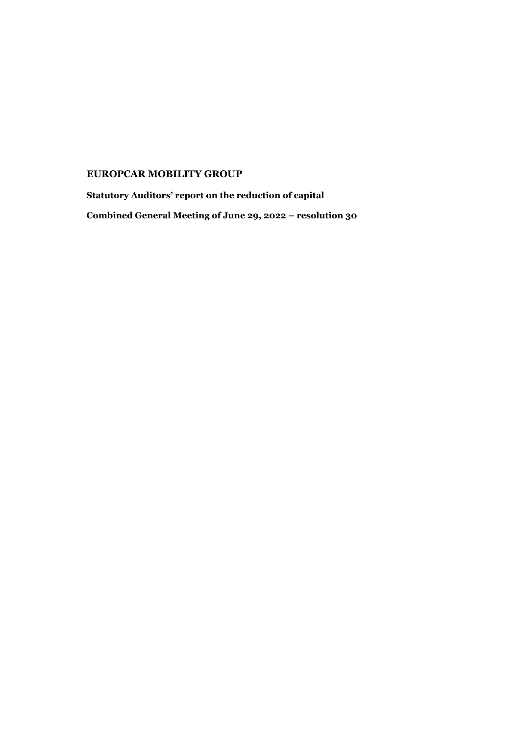## **EUROPCAR MOBILITY GROUP**

**Statutory Auditors' report on the reduction of capital Combined General Meeting of June 29, 2022 – resolution 30**